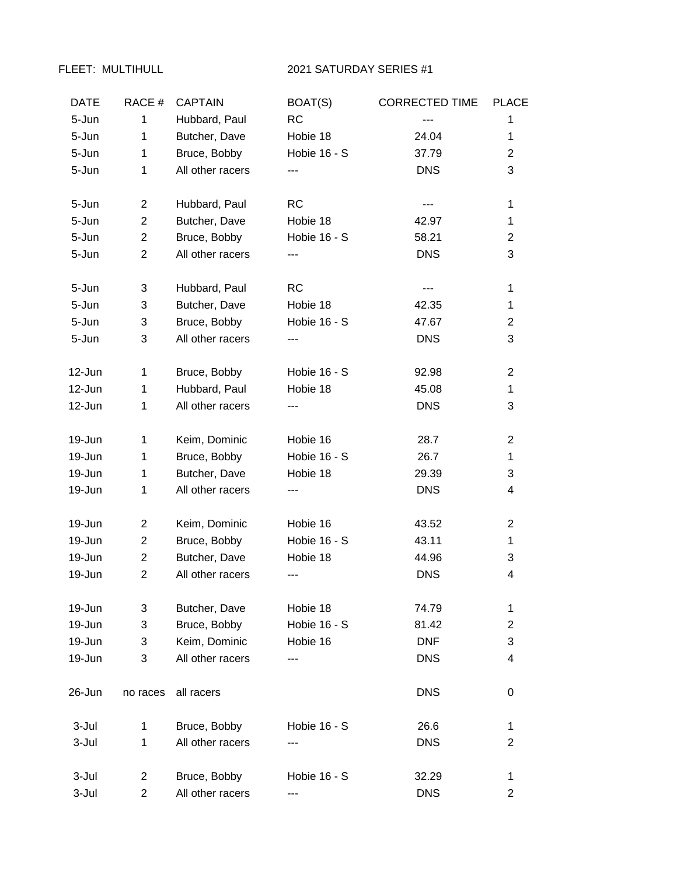## FLEET: MULTIHULL 2021 SATURDAY SERIES #1

| <b>DATE</b> | RACE#          | <b>CAPTAIN</b>   | BOAT(S)      | <b>CORRECTED TIME</b> | <b>PLACE</b>   |
|-------------|----------------|------------------|--------------|-----------------------|----------------|
| 5-Jun       | $\mathbf{1}$   | Hubbard, Paul    | RC           | ---                   | 1              |
| 5-Jun       | 1              | Butcher, Dave    | Hobie 18     | 24.04                 | 1              |
| 5-Jun       | $\mathbf 1$    | Bruce, Bobby     | Hobie 16 - S | 37.79                 | $\overline{2}$ |
| 5-Jun       | 1              | All other racers | ---          | <b>DNS</b>            | 3              |
| 5-Jun       | $\overline{2}$ | Hubbard, Paul    | <b>RC</b>    | ---                   | 1              |
| 5-Jun       | $\overline{2}$ | Butcher, Dave    | Hobie 18     | 42.97                 | $\mathbf{1}$   |
| 5-Jun       | $\overline{c}$ | Bruce, Bobby     | Hobie 16 - S | 58.21                 | $\overline{2}$ |
| 5-Jun       | $\mathbf{2}$   | All other racers | ---          | <b>DNS</b>            | 3              |
| 5-Jun       | 3              | Hubbard, Paul    | <b>RC</b>    |                       | $\mathbf{1}$   |
| 5-Jun       | 3              | Butcher, Dave    | Hobie 18     | 42.35                 | $\mathbf{1}$   |
| 5-Jun       | 3              | Bruce, Bobby     | Hobie 16 - S | 47.67                 | $\overline{2}$ |
| 5-Jun       | 3              | All other racers |              | <b>DNS</b>            | 3              |
| 12-Jun      | $\mathbf 1$    | Bruce, Bobby     | Hobie 16 - S | 92.98                 | $\overline{2}$ |
| 12-Jun      | 1              | Hubbard, Paul    | Hobie 18     | 45.08                 | $\mathbf{1}$   |
| 12-Jun      | 1              | All other racers | ---          | <b>DNS</b>            | 3              |
| 19-Jun      | $\mathbf 1$    | Keim, Dominic    | Hobie 16     | 28.7                  | $\overline{c}$ |
| 19-Jun      | 1              | Bruce, Bobby     | Hobie 16 - S | 26.7                  | 1              |
| 19-Jun      | 1              | Butcher, Dave    | Hobie 18     | 29.39                 | 3              |
| 19-Jun      | $\mathbf 1$    | All other racers | ---          | <b>DNS</b>            | 4              |
| 19-Jun      | $\overline{2}$ | Keim, Dominic    | Hobie 16     | 43.52                 | $\overline{2}$ |
| 19-Jun      | $\overline{2}$ | Bruce, Bobby     | Hobie 16 - S | 43.11                 | $\mathbf 1$    |
| 19-Jun      | $\overline{2}$ | Butcher, Dave    | Hobie 18     | 44.96                 | 3              |
| 19-Jun      | $\overline{2}$ | All other racers | ---          | <b>DNS</b>            | 4              |
| 19-Jun      | 3              | Butcher, Dave    | Hobie 18     | 74.79                 | 1              |
| 19-Jun      | 3              | Bruce, Bobby     | Hobie 16 - S | 81.42                 | $\overline{c}$ |
| 19-Jun      | 3              | Keim, Dominic    | Hobie 16     | <b>DNF</b>            | 3              |
| 19-Jun      | 3              | All other racers | ---          | <b>DNS</b>            | 4              |
| 26-Jun      | no races       | all racers       |              | <b>DNS</b>            | 0              |
| 3-Jul       | 1              | Bruce, Bobby     | Hobie 16 - S | 26.6                  | 1              |
| 3-Jul       | 1              | All other racers |              | <b>DNS</b>            | $\overline{c}$ |
| 3-Jul       | 2              | Bruce, Bobby     | Hobie 16 - S | 32.29                 | 1              |
| 3-Jul       | $\overline{2}$ | All other racers | ---          | <b>DNS</b>            | $\overline{2}$ |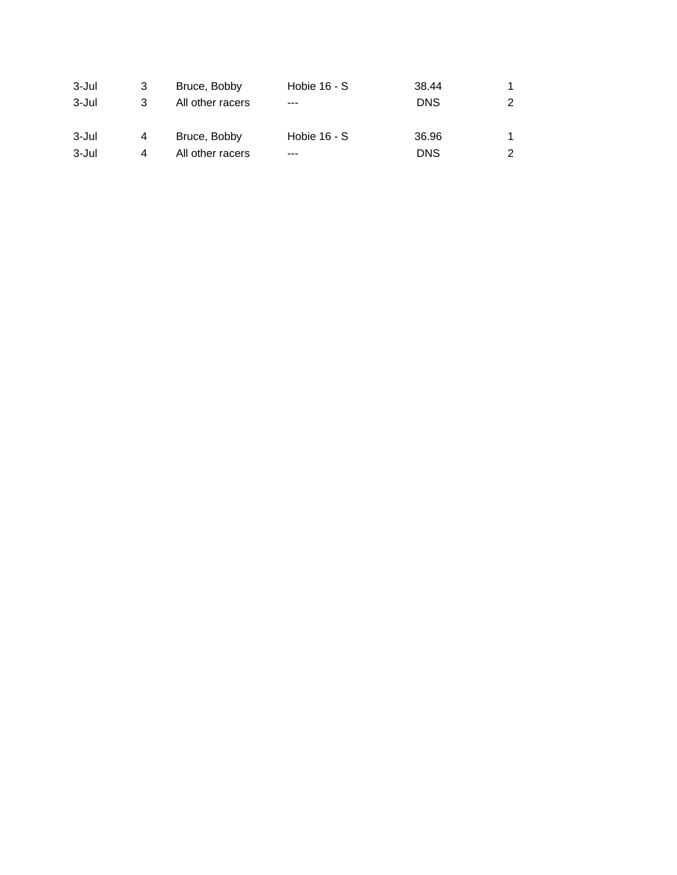| 3-Jul | 3 | Bruce, Bobby     | Hobie $16 - S$ | 38.44      |  |
|-------|---|------------------|----------------|------------|--|
| 3-Jul | 3 | All other racers | $- - -$        | <b>DNS</b> |  |
| 3-Jul | 4 | Bruce, Bobby     | Hobie $16 - S$ | 36.96      |  |
| 3-Jul | 4 | All other racers | $- - -$        | <b>DNS</b> |  |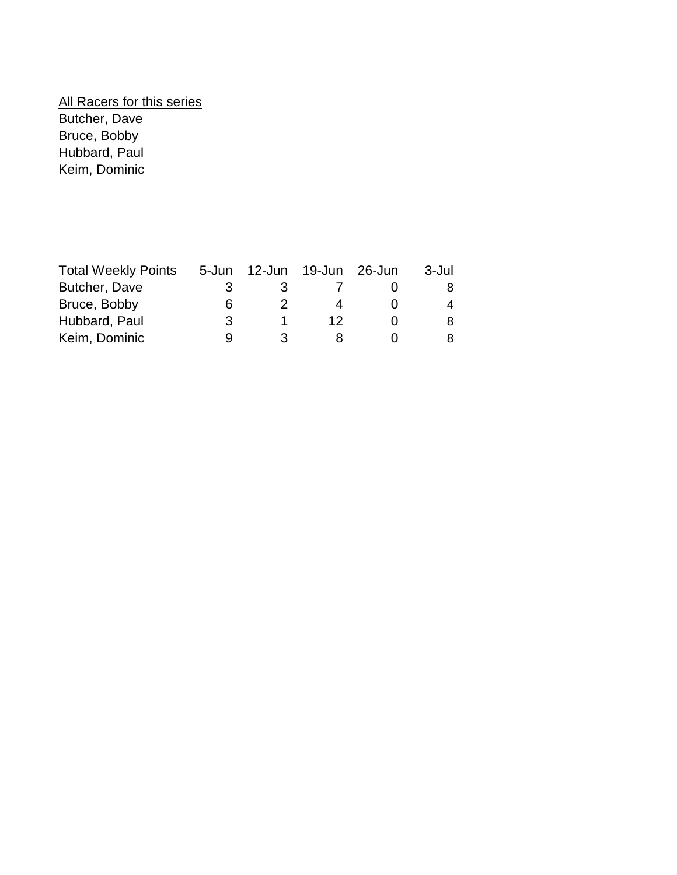## **All Racers for this series** Butcher, Dave Bruce, Bobby Hubbard, Paul Keim, Dominic

| <b>Total Weekly Points</b> | 5-Jun | 12-Jun | 19-Jun 26-Jun | 3-Jul |
|----------------------------|-------|--------|---------------|-------|
| Butcher, Dave              | 3     | 3      |               | 8     |
| Bruce, Bobby               | 6     |        |               | 4     |
| Hubbard, Paul              | 3     |        | 12            | 8     |
| Keim, Dominic              | Q     | ર      |               | 8     |